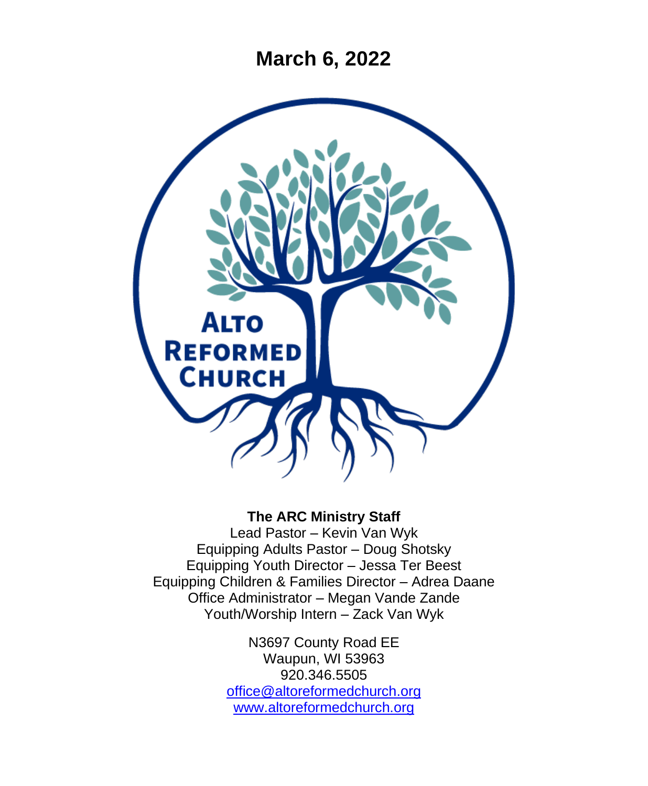**March 6, 2022**



### **The ARC Ministry Staff**

Lead Pastor – Kevin Van Wyk Equipping Adults Pastor – Doug Shotsky Equipping Youth Director – Jessa Ter Beest Equipping Children & Families Director – Adrea Daane Office Administrator – Megan Vande Zande Youth/Worship Intern – Zack Van Wyk

> N3697 County Road EE Waupun, WI 53963 920.346.5505 [office@altoreformedchurch.org](mailto:office@altoreformedchurch.org) [www.altoreformedchurch.org](http://www.altoreformedchurch.org/)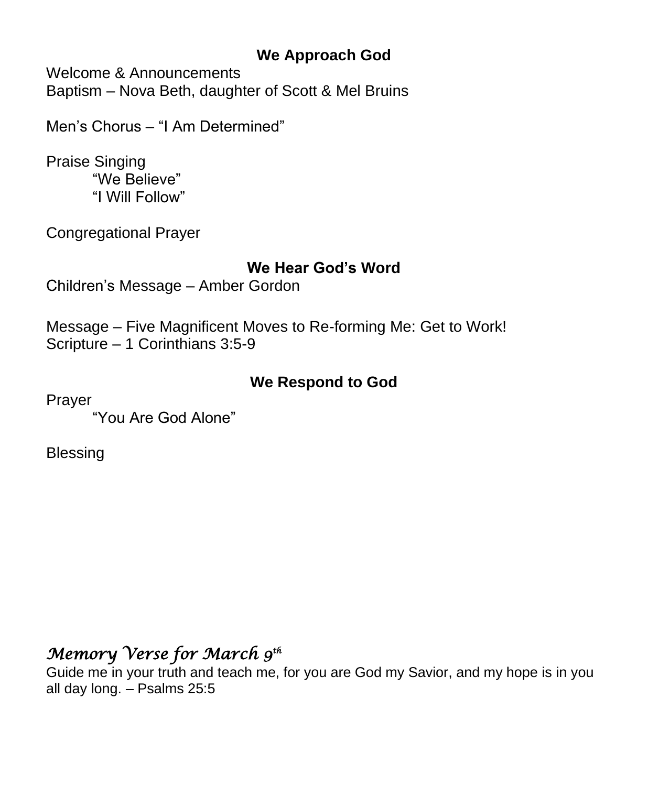## **We Approach God**

Welcome & Announcements Baptism – Nova Beth, daughter of Scott & Mel Bruins

Men's Chorus – "I Am Determined"

Praise Singing "We Believe" "I Will Follow"

Congregational Prayer

### **We Hear God's Word**

Children's Message – Amber Gordon

Message – Five Magnificent Moves to Re-forming Me: Get to Work! Scripture – 1 Corinthians 3:5-9

## **We Respond to God**

Prayer

"You Are God Alone"

Blessing

# *Memory Verse for March 9th*

Guide me in your truth and teach me, for you are God my Savior, and my hope is in you all day long. – Psalms 25:5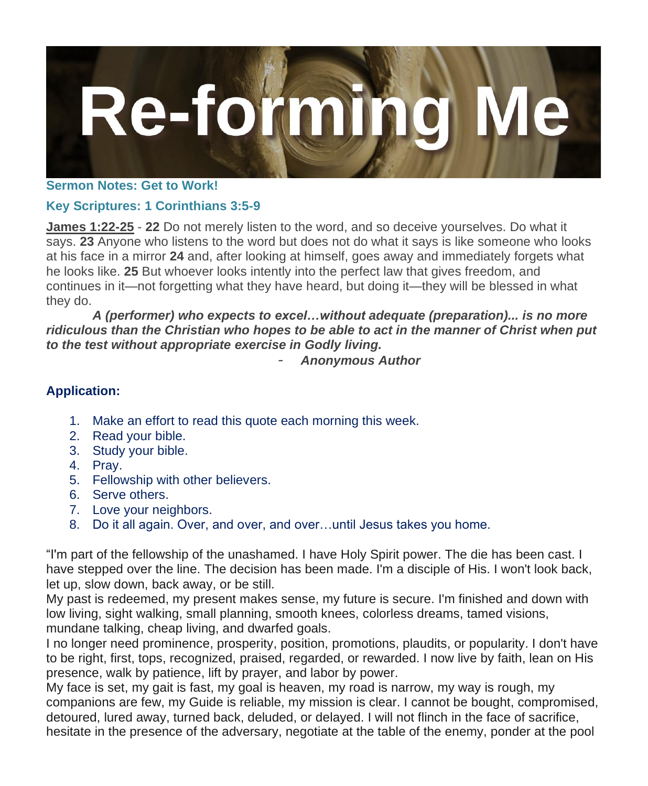

#### **Sermon Notes: Get to Work!**

### **Key Scriptures: 1 Corinthians 3:5-9**

**James 1:22-25** - **22** Do not merely listen to the word, and so deceive yourselves. Do what it says. **23** Anyone who listens to the word but does not do what it says is like someone who looks at his face in a mirror **24** and, after looking at himself, goes away and immediately forgets what he looks like. **25** But whoever looks intently into the perfect law that gives freedom, and continues in it—not forgetting what they have heard, but doing it—they will be blessed in what they do.

*A (performer) who expects to excel…without adequate (preparation)... is no more ridiculous than the Christian who hopes to be able to act in the manner of Christ when put to the test without appropriate exercise in Godly living.*

*- Anonymous Author*

#### **Application:**

- 1. Make an effort to read this quote each morning this week.
- 2. Read your bible.
- 3. Study your bible.
- 4. Pray.
- 5. Fellowship with other believers.
- 6. Serve others.
- 7. Love your neighbors.
- 8. Do it all again. Over, and over, and over…until Jesus takes you home.

"I'm part of the fellowship of the unashamed. I have Holy Spirit power. The die has been cast. I have stepped over the line. The decision has been made. I'm a disciple of His. I won't look back, let up, slow down, back away, or be still.

My past is redeemed, my present makes sense, my future is secure. I'm finished and down with low living, sight walking, small planning, smooth knees, colorless dreams, tamed visions, mundane talking, cheap living, and dwarfed goals.

I no longer need prominence, prosperity, position, promotions, plaudits, or popularity. I don't have to be right, first, tops, recognized, praised, regarded, or rewarded. I now live by faith, lean on His presence, walk by patience, lift by prayer, and labor by power.

My face is set, my gait is fast, my goal is heaven, my road is narrow, my way is rough, my companions are few, my Guide is reliable, my mission is clear. I cannot be bought, compromised, detoured, lured away, turned back, deluded, or delayed. I will not flinch in the face of sacrifice, hesitate in the presence of the adversary, negotiate at the table of the enemy, ponder at the pool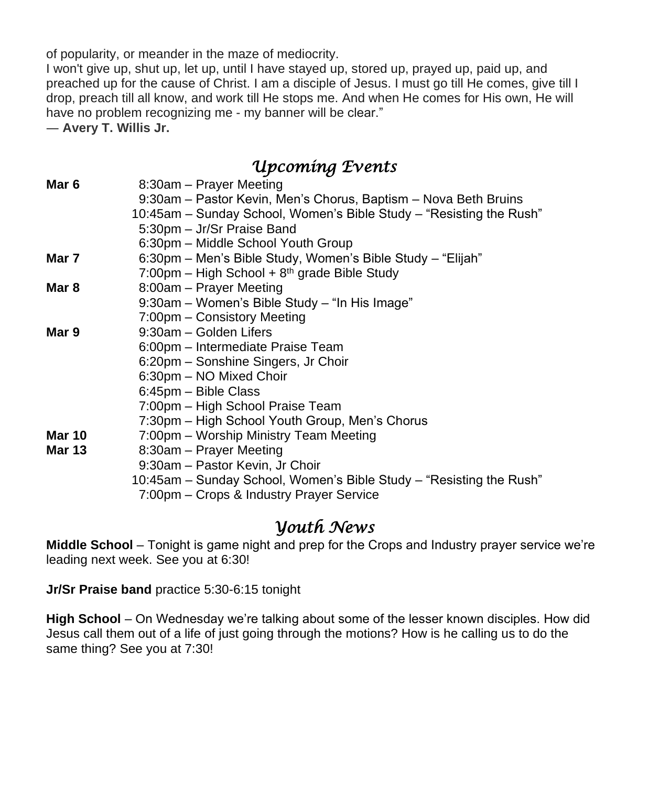of popularity, or meander in the maze of mediocrity.

I won't give up, shut up, let up, until I have stayed up, stored up, prayed up, paid up, and preached up for the cause of Christ. I am a disciple of Jesus. I must go till He comes, give till I drop, preach till all know, and work till He stops me. And when He comes for His own, He will have no problem recognizing me - my banner will be clear."

― **Avery T. Willis Jr.**

## *Upcoming Events*

| Mar 6         | 8:30am - Prayer Meeting                                             |
|---------------|---------------------------------------------------------------------|
|               | 9:30am – Pastor Kevin, Men's Chorus, Baptism – Nova Beth Bruins     |
|               | 10:45am – Sunday School, Women's Bible Study – "Resisting the Rush" |
|               | 5:30pm - Jr/Sr Praise Band                                          |
|               | 6:30pm – Middle School Youth Group                                  |
| Mar 7         | 6:30pm – Men's Bible Study, Women's Bible Study – "Elijah"          |
|               | 7:00pm – High School + $8th$ grade Bible Study                      |
| Mar 8         | 8:00am – Prayer Meeting                                             |
|               | 9:30am - Women's Bible Study - "In His Image"                       |
|               | 7:00pm – Consistory Meeting                                         |
| Mar 9         | 9:30am - Golden Lifers                                              |
|               | 6:00pm – Intermediate Praise Team                                   |
|               | 6:20pm – Sonshine Singers, Jr Choir                                 |
|               | 6:30pm - NO Mixed Choir                                             |
|               | 6:45pm - Bible Class                                                |
|               | 7:00pm – High School Praise Team                                    |
|               | 7:30pm – High School Youth Group, Men's Chorus                      |
| <b>Mar 10</b> | 7:00pm - Worship Ministry Team Meeting                              |
| Mar 13        | 8:30am – Prayer Meeting                                             |
|               | 9:30am - Pastor Kevin, Jr Choir                                     |
|               | 10:45am – Sunday School, Women's Bible Study – "Resisting the Rush" |

7:00pm – Crops & Industry Prayer Service

### *Youth News*

**Middle School** – Tonight is game night and prep for the Crops and Industry prayer service we're leading next week. See you at 6:30!

**Jr/Sr Praise band** practice 5:30-6:15 tonight

**High School** – On Wednesday we're talking about some of the lesser known disciples. How did Jesus call them out of a life of just going through the motions? How is he calling us to do the same thing? See you at 7:30!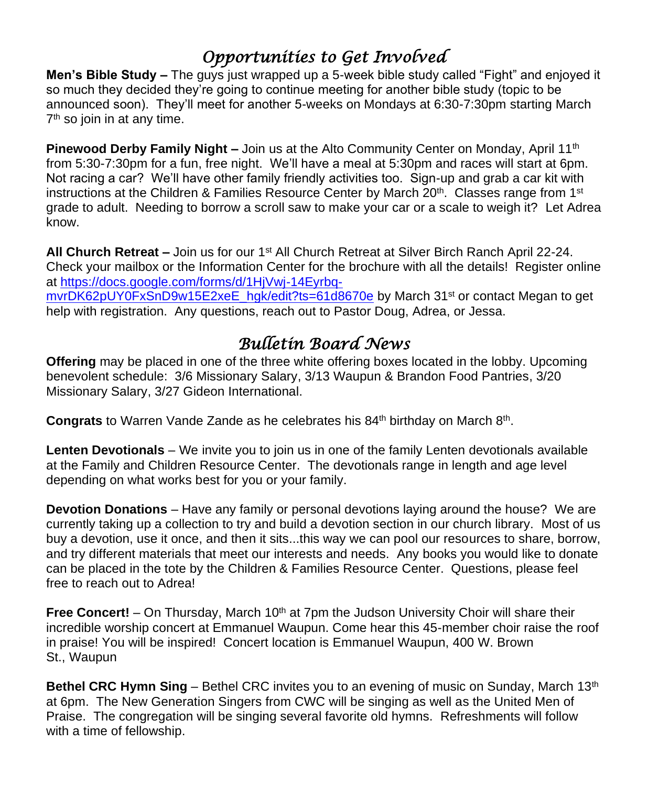# *Opportunities to Get Involved*

**Men's Bible Study –** The guys just wrapped up a 5-week bible study called "Fight" and enjoyed it so much they decided they're going to continue meeting for another bible study (topic to be announced soon). They'll meet for another 5-weeks on Mondays at 6:30-7:30pm starting March 7 th so join in at any time.

**Pinewood Derby Family Night –** Join us at the Alto Community Center on Monday, April 11<sup>th</sup> from 5:30-7:30pm for a fun, free night. We'll have a meal at 5:30pm and races will start at 6pm. Not racing a car? We'll have other family friendly activities too. Sign-up and grab a car kit with instructions at the Children & Families Resource Center by March 20<sup>th</sup>. Classes range from 1<sup>st</sup> grade to adult. Needing to borrow a scroll saw to make your car or a scale to weigh it? Let Adrea know.

**All Church Retreat –** Join us for our 1st All Church Retreat at Silver Birch Ranch April 22-24. Check your mailbox or the Information Center for the brochure with all the details! Register online at [https://docs.google.com/forms/d/1HjVwj-14Eyrbq](https://docs.google.com/forms/d/1HjVwj-14Eyrbq-mvrDK62pUY0FxSnD9w15E2xeE_hgk/edit?ts=61d8670e)[mvrDK62pUY0FxSnD9w15E2xeE\\_hgk/edit?ts=61d8670e](https://docs.google.com/forms/d/1HjVwj-14Eyrbq-mvrDK62pUY0FxSnD9w15E2xeE_hgk/edit?ts=61d8670e) by March 31<sup>st</sup> or contact Megan to get help with registration. Any questions, reach out to Pastor Doug, Adrea, or Jessa.

# *Bulletin Board News*

**Offering** may be placed in one of the three white offering boxes located in the lobby. Upcoming benevolent schedule: 3/6 Missionary Salary, 3/13 Waupun & Brandon Food Pantries, 3/20 Missionary Salary, 3/27 Gideon International.

Congrats to Warren Vande Zande as he celebrates his 84<sup>th</sup> birthday on March 8<sup>th</sup>.

**Lenten Devotionals** – We invite you to join us in one of the family Lenten devotionals available at the Family and Children Resource Center. The devotionals range in length and age level depending on what works best for you or your family.

**Devotion Donations** – Have any family or personal devotions laying around the house? We are currently taking up a collection to try and build a devotion section in our church library. Most of us buy a devotion, use it once, and then it sits...this way we can pool our resources to share, borrow, and try different materials that meet our interests and needs. Any books you would like to donate can be placed in the tote by the Children & Families Resource Center. Questions, please feel free to reach out to Adrea!

**Free Concert!** – On Thursday, March 10<sup>th</sup> at 7pm the Judson University Choir will share their incredible worship concert at Emmanuel Waupun. Come hear this 45-member choir raise the roof in praise! You will be inspired! Concert location is Emmanuel Waupun, 400 W. Brown St., Waupun

**Bethel CRC Hymn Sing** – Bethel CRC invites you to an evening of music on Sunday, March 13<sup>th</sup> at 6pm. The New Generation Singers from CWC will be singing as well as the United Men of Praise. The congregation will be singing several favorite old hymns. Refreshments will follow with a time of fellowship.